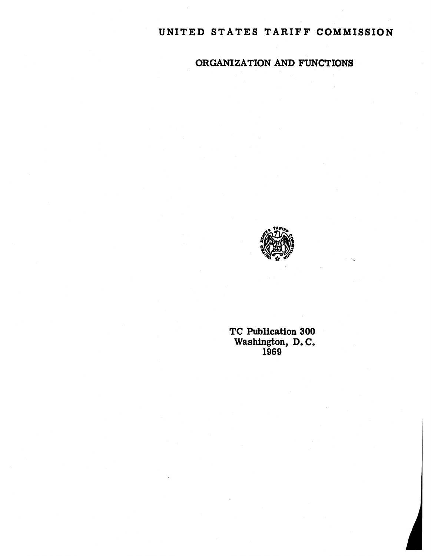# UNITED STATES TARIFF COMMISSION

# ORGANIZATION AND FUNCTIONS



TC Publication 300 Washington, D. C. 1969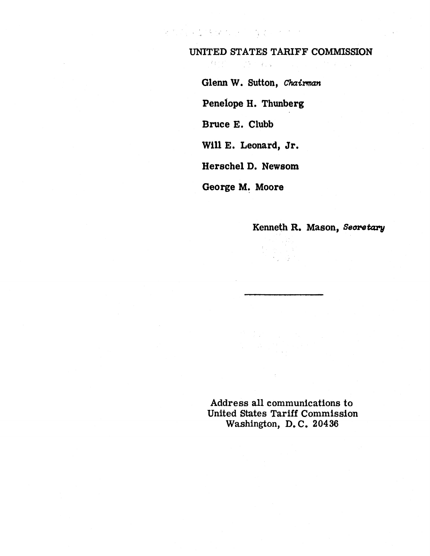# UNITED STATES TARIFF COMMISSION

Glenn W. Sutton, Chairman Penelope H. Thunberg Bruce E. Clubb Will E. Leonard, Jr. Herschel D. Newsom George M. Moore

' . ' , .. '·

Kenneth R. Mason, Secretary

Address all communications to United States Tariff Commission Washington, D. C. 20436

 $\label{eq:2.1} \frac{d\mathbf{Y}}{d\mathbf{y}}=\frac{1}{2\pi}\sum_{i=1}^{N} \frac{d\mathbf{y}_{i}}{d\mathbf{y}_{i}}\left[\frac{d\mathbf{y}_{i}}{d\mathbf{y}_{i}}\right]_{i}=\frac{1}{2\pi}\sum_{i=1}^{N} \frac{d\mathbf{y}_{i}}{d\mathbf{y}_{i}}\left[\frac{d\mathbf{y}_{i}}{d\mathbf{y}_{i}}\right]_{i}=\frac{1}{2\pi}\sum_{i=1}^{N} \frac{d\mathbf{y}_{i}}{d\mathbf{y}_{i}}\left[\frac{d\mathbf{y}_{i$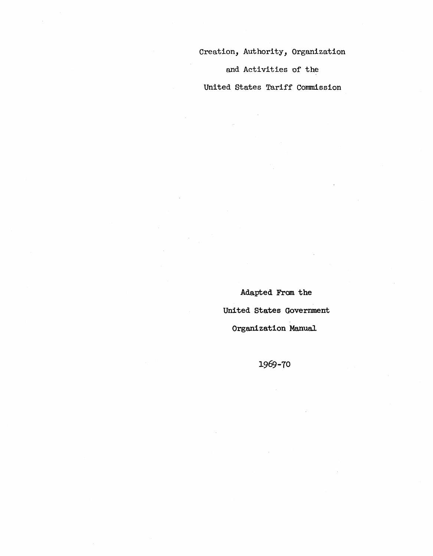Creation, Authority, Organization

and Activities of the

United States Tariff Commission

Adapted From the United States Government Organization Manual.

1969-70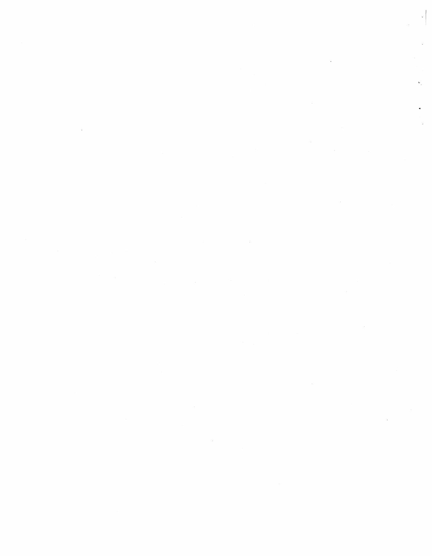$\mathcal{L}_{\text{max}}$  $\label{eq:2.1} \frac{1}{\sqrt{2}}\sum_{i=1}^n\frac{1}{\sqrt{2}}\sum_{i=1}^n\frac{1}{\sqrt{2}}\sum_{i=1}^n\frac{1}{\sqrt{2}}\sum_{i=1}^n\frac{1}{\sqrt{2}}\sum_{i=1}^n\frac{1}{\sqrt{2}}\sum_{i=1}^n\frac{1}{\sqrt{2}}\sum_{i=1}^n\frac{1}{\sqrt{2}}\sum_{i=1}^n\frac{1}{\sqrt{2}}\sum_{i=1}^n\frac{1}{\sqrt{2}}\sum_{i=1}^n\frac{1}{\sqrt{2}}\sum_{i=1}^n\frac$  $\label{eq:2.1} \mathcal{L}(\mathcal{L}^{\mathcal{L}}_{\mathcal{L}}(\mathcal{L}^{\mathcal{L}}_{\mathcal{L}})) = \mathcal{L}(\mathcal{L}^{\mathcal{L}}_{\mathcal{L}}(\mathcal{L}^{\mathcal{L}}_{\mathcal{L}})) = \mathcal{L}(\mathcal{L}^{\mathcal{L}}_{\mathcal{L}}(\mathcal{L}^{\mathcal{L}}_{\mathcal{L}}))$  $\label{eq:2.1} \frac{1}{\sqrt{2}}\int_{0}^{\infty}\frac{1}{\sqrt{2\pi}}\left(\frac{1}{\sqrt{2}}\right)^{2}d\mu_{\rm{max}}\left(\frac{1}{\sqrt{2}}\right).$  $\label{eq:2.1} \frac{1}{\sqrt{2}}\left(\frac{1}{\sqrt{2}}\right)^{2} \left(\frac{1}{\sqrt{2}}\right)^{2} \left(\frac{1}{\sqrt{2}}\right)^{2} \left(\frac{1}{\sqrt{2}}\right)^{2} \left(\frac{1}{\sqrt{2}}\right)^{2} \left(\frac{1}{\sqrt{2}}\right)^{2} \left(\frac{1}{\sqrt{2}}\right)^{2} \left(\frac{1}{\sqrt{2}}\right)^{2} \left(\frac{1}{\sqrt{2}}\right)^{2} \left(\frac{1}{\sqrt{2}}\right)^{2} \left(\frac{1}{\sqrt{2}}\right)^{2} \left(\$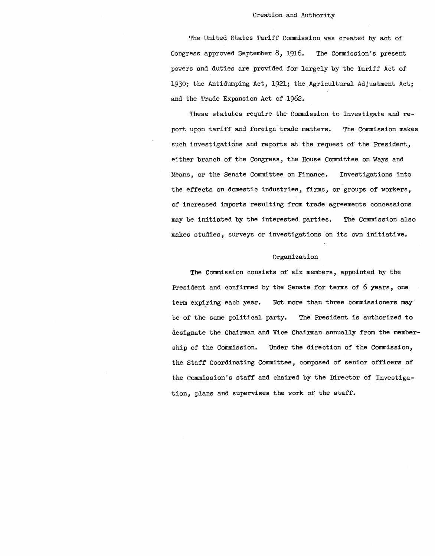#### Creation and Authority

The United States Tariff Commission was created by act of Congress approved September  $8$ , 1916. The Commission's present powers and duties are provided for largely by the Tariff Act of 1930; the Antidumping Act, 1921; the Agricultural Adjustment Act; and the Trade Expansion Act of 1962.

These statutes require the Commission to investigate and report upon tariff and foreign trade matters. The Commission makes such investigations and reports at the request of the President, either branch of the Congress, the House Committee on Ways and Means, or the Senate Committee on Finance. Investigations into the effects on domestic industries, firms, or groups of workers, of increased imports resulting from trade agreements concessions may be initiated by the interested parties. The Commission also makes studies, surveys or investigations on its own initiative.

# Organization

The Commission consists of six members, appointed by the President and confirmed by the Senate for terms of 6 years, one term expiring each year. Not more than three commissioners may be of the same political party. The President is authorized to designate the Chairman and Vice Chairman annually from the membership of the Commission. Under the direction of the Commission, the Staff Coordinating Committee, composed of senior officers of the Commission's staff and chaired by the Director of Investigation, plans and supervises the work of the staff.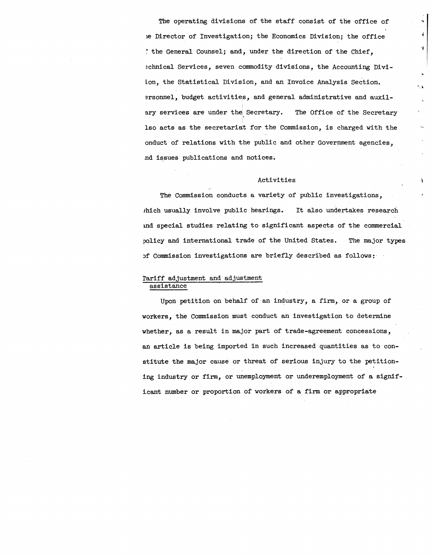The operating divisions of the staff consist of the office of ie Director of Investigation; the Economics Division; the office : the General Counsel; and, under the direction of the Chief. ~chnical Services, seven commodity divisions, the Accounting Divi-Lon, the Statistical Division, and an Invoice Analysis Section. ersonnel, budget activities, and general administrative and auxilary services are under the Secretary. The Office of the Secretary lso acts as the secretariat for the Commission, is charged with the onduct of relations with the public and other Government agencies, .nd issues publications and notices.

 $\overline{A}$  $\mathbf{H}$ 

#### Activities

The Commission conducts a variety of public investigations, rhich usually involve public hearings. It also undertakes research and special studies relating to significant aspects of the commercial policy and international trade of the United States. The major types )f Commission investigations are briefly described as follows:· ·

# Tariff adjustment and adjustment assistance

Upon petition on behalf of an industry, a firm, or a group of workers, the Commission must conduct an investigation to determine whether, as a result in major part of trade-agreement concessions, an article is being imported in such increased quantities as to constitute the major cause or threat of serious injury to the petitioning industry or firm, or unemployment or underemployment of a significant number or proportion of workers of a firm or appropriate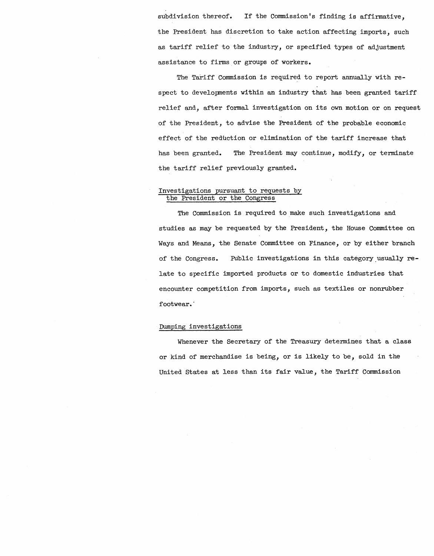subdivision thereof. If the Commission's finding is affirmative, the President has discretion to take action affecting imports, such as tariff relief to the industry, or specified types of adjustment assistance to firms or groups of workers.

The Tariff Commission is required to report annually with respect to developnents within an industry that has been granted tariff relief and, after formal investigation on its own motion or on request of the President, to advise the President of the probable economic effect of the reduction or elimination of the tariff increase that has been granted. The President may continue, modify, or terminate the tariff relief previously granted.

#### Investigations pursuant to requests by the President or the Congress

The Commission is required to make such investigations and studies as may be requested by the President, the House Committee on Ways and Means, the Senate Committee on Finance, or by either branch of the Congress. Public investigations in this category usually relate to specific imported products or to domestic industries that encounter competition from imports, such as textiles or nonrubber footwear.

#### Dumping investigations

Whenever the Secretary of the Treasury determines that a class or kind of merchandise is being, or is likely to be, sold in the United States at less than its fair value, the Tariff Commission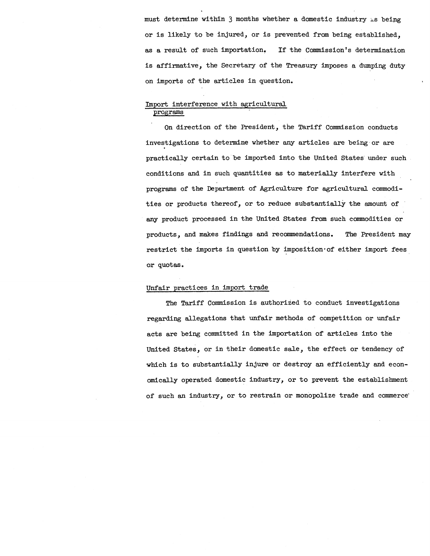must determine within 3 months whether a domestic industry  $\Box$ s being or is likely to be injured, or is prevented from being established, as a result of such importation. If the Commission's determination is affirmative, the Secretary of the Treasury imposes a dumping duty on imports of the articles in question.

## Import interference with agricultural programs

On direction of the President, the Tariff Commission conducts investigations to determine whether any articles are being·or are practically certain to be imported into the United States under such conditions and in such quantities as to materially interfere with programs of the Department of Agriculture for agricultural commodities or products thereof, or to reduce substantially the amount of any product processed in the United States from such commodities or products, and makes findings and recamnendations. The President may restrict the imports in question by imposition·of either import fees or quotas.

# Unfair practices in import trade

The Tariff Commission is authorized to conduct investigations regarding allegations that unfair methods of competition or unfair acts are being committed in the importation of articles into the United States, or in their domestic sale, the effect or tendency of vhich is to substantially injure or destroy an efficiently and economically operated domestic industry, or to prevent the establishment of such an industry, or to restrain or monopolize trade and commerce·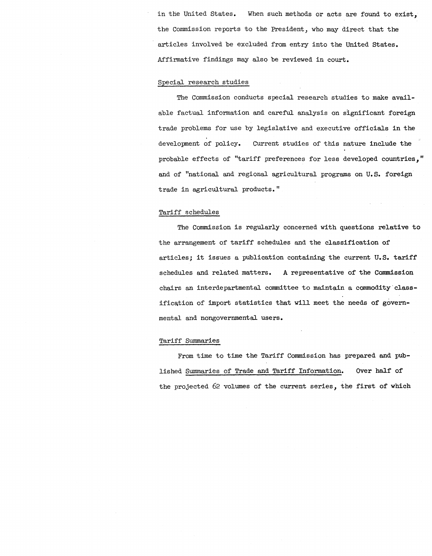in the United States. When such methods or acts are found to exist, the Commission reports to the President, who may direct that the articles involved be excluded from entry into the United States. Affirmative findings may also be reviewed in court.

## Special research studies

The Commission conducts special research studies to make available factual information and careful analysis on significant foreign trade problems for use by legislative and executive officials in the developnent of policy. Current studies of this nature include the probable effects of "tariff preferences for less developed countries *<sup>1</sup> "*  and of "national and regional agricultural programs on U.S. foreign trade in agricultural products."

#### Tariff schedules

The Commission is regularly concerned with questions relative to the arrangement of tariff schedules and the classification of articles; it issues a publication containing the current U.S. tariff schedules and related matters. A representative of the Commission chairs an interdepartmental committee to maintain a commodity classification of import statistics that will meet the needs of governmental and nongovernmental users.

#### Tariff Summaries

From time to time the Tariff Connnission has prepared and published Summaries of Trade and Tariff Information. Over half of the projected 62 volumes of the current series, the first of which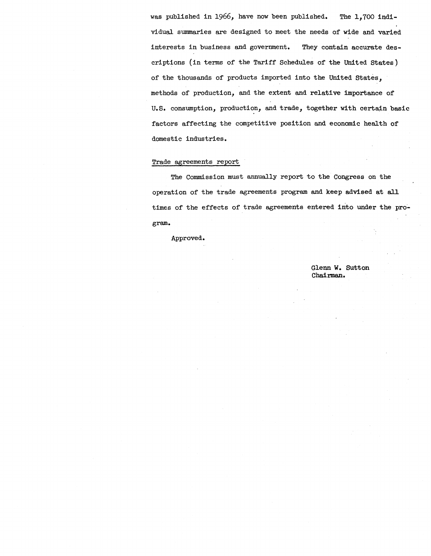was published in 1966, have now been published. The 1, 700 individual. summaries are designed to meet the needs of wide and varied interests in business and government. They contain accurate descriptions (in terms of the Tariff Schedules of the United States) of the thousands of products imported into the United States, methods of production, and the extent and relative importance of U.S. consumption, production, and trade, together with certain basic factors affecting the competitive position and economic health of domestic industries.

#### Trade agreements report

The Commission must annually report to the Congress on the operation of the trade agreements program and keep advised at all times of the effects of trade agreements entered into under the program.

Approved.

Glenn W. Sutton Chairman.